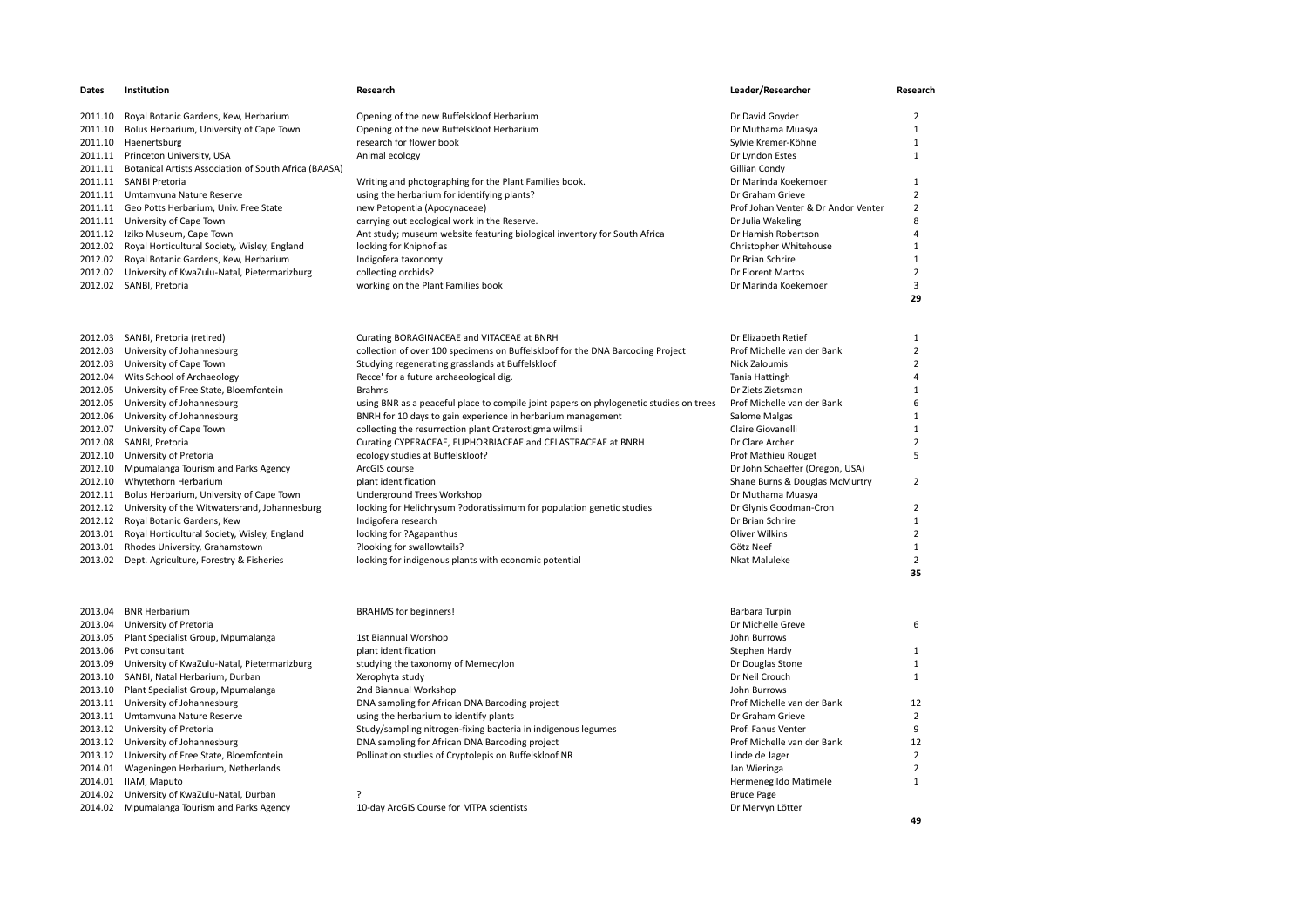| Dates   | Institution                                                   | Research                                                                               | Leader/Researcher                   | Research       |
|---------|---------------------------------------------------------------|----------------------------------------------------------------------------------------|-------------------------------------|----------------|
| 2011.10 | Royal Botanic Gardens, Kew, Herbarium                         | Opening of the new Buffelskloof Herbarium                                              | Dr David Goyder                     | $\overline{2}$ |
| 2011.10 | Bolus Herbarium, University of Cape Town                      | Opening of the new Buffelskloof Herbarium                                              | Dr Muthama Muasya                   | $\mathbf{1}$   |
| 2011.10 | Haenertsburg                                                  | research for flower book                                                               | Sylvie Kremer-Köhne                 | $\mathbf{1}$   |
| 2011.11 | Princeton University, USA                                     | Animal ecology                                                                         | Dr Lyndon Estes                     | $\mathbf{1}$   |
|         | 2011.11 Botanical Artists Association of South Africa (BAASA) |                                                                                        | Gillian Condy                       |                |
|         | 2011.11 SANBI Pretoria                                        | Writing and photographing for the Plant Families book.                                 | Dr Marinda Koekemoer                | $\mathbf{1}$   |
|         | 2011.11 Umtamvuna Nature Reserve                              | using the herbarium for identifying plants?                                            | Dr Graham Grieve                    | 2              |
|         | 2011.11 Geo Potts Herbarium, Univ. Free State                 | new Petopentia (Apocynaceae)                                                           | Prof Johan Venter & Dr Andor Venter | $\overline{2}$ |
|         | 2011.11 University of Cape Town                               | carrying out ecological work in the Reserve.                                           | Dr Julia Wakeling                   | 8              |
|         | 2011.12 Iziko Museum, Cape Town                               | Ant study; museum website featuring biological inventory for South Africa              | Dr Hamish Robertson                 | $\Delta$       |
|         | 2012.02 Royal Horticultural Society, Wisley, England          | looking for Kniphofias                                                                 | Christopher Whitehouse              | $\mathbf{1}$   |
|         | 2012.02 Royal Botanic Gardens, Kew, Herbarium                 | Indigofera taxonomy                                                                    | Dr Brian Schrire                    | $\mathbf{1}$   |
|         | 2012.02 University of KwaZulu-Natal, Pietermarizburg          | collecting orchids?                                                                    | Dr Florent Martos                   | $\overline{2}$ |
|         | 2012.02 SANBI, Pretoria                                       | working on the Plant Families book                                                     | Dr Marinda Koekemoer                | 3              |
|         |                                                               |                                                                                        |                                     | 29             |
|         | 2012.03 SANBI, Pretoria (retired)                             | Curating BORAGINACEAE and VITACEAE at BNRH                                             | Dr Elizabeth Retief                 | $\mathbf{1}$   |
| 2012.03 | University of Johannesburg                                    | collection of over 100 specimens on Buffelskloof for the DNA Barcoding Project         | Prof Michelle van der Bank          | $\overline{2}$ |
|         | 2012.03 University of Cape Town                               | Studying regenerating grasslands at Buffelskloof                                       | Nick Zaloumis                       | $\overline{2}$ |
|         | 2012.04 Wits School of Archaeology                            | Recce' for a future archaeological dig.                                                | Tania Hattingh                      | $\Delta$       |
| 2012.05 | University of Free State, Bloemfontein                        | <b>Brahms</b>                                                                          | Dr Ziets Zietsman                   | $\mathbf{1}$   |
| 2012.05 | University of Johannesburg                                    | using BNR as a peaceful place to compile joint papers on phylogenetic studies on trees | Prof Michelle van der Bank          | 6              |
| 2012.06 | University of Johannesburg                                    | BNRH for 10 days to gain experience in herbarium management                            | Salome Malgas                       | 1              |
|         | 2012.07 University of Cape Town                               | collecting the resurrection plant Craterostigma wilmsii                                | Claire Giovanelli                   | $\mathbf{1}$   |
|         | 2012.08 SANBI, Pretoria                                       | Curating CYPERACEAE, EUPHORBIACEAE and CELASTRACEAE at BNRH                            | Dr Clare Archer                     | $\overline{2}$ |
|         | 2012.10 University of Pretoria                                | ecology studies at Buffelskloof?                                                       | Prof Mathieu Rouget                 | 5              |
|         | 2012.10 Mpumalanga Tourism and Parks Agency                   | ArcGIS course                                                                          | Dr John Schaeffer (Oregon, USA)     |                |
| 2012.10 | Whytethorn Herbarium                                          | plant identification                                                                   | Shane Burns & Douglas McMurtry      | $\overline{2}$ |
| 2012.11 | Bolus Herbarium, University of Cape Town                      | Underground Trees Workshop                                                             | Dr Muthama Muasya                   |                |
|         | 2012.12 University of the Witwatersrand, Johannesburg         | looking for Helichrysum ?odoratissimum for population genetic studies                  | Dr Glynis Goodman-Cron              | $\overline{2}$ |
| 2012.12 | Royal Botanic Gardens, Kew                                    | Indigofera research                                                                    | Dr Brian Schrire                    | 1              |
| 2013.01 | Royal Horticultural Society, Wisley, England                  | looking for ?Agapanthus                                                                | Oliver Wilkins                      | $\overline{2}$ |
| 2013.01 | Rhodes University, Grahamstown                                | ?looking for swallowtails?                                                             | Götz Neef                           | $\mathbf{1}$   |
| 2013.02 | Dept. Agriculture, Forestry & Fisheries                       | looking for indigenous plants with economic potential                                  | Nkat Maluleke                       | $\overline{2}$ |
|         |                                                               |                                                                                        |                                     | 35             |
| 2013.04 | <b>BNR Herbarium</b>                                          | <b>BRAHMS</b> for beginners!                                                           | Barbara Turpin                      |                |
| 2013.04 | University of Pretoria                                        |                                                                                        | Dr Michelle Greve                   | 6              |
|         | 2013.05 Plant Specialist Group, Mpumalanga                    | 1st Biannual Worshop                                                                   | John Burrows                        |                |
| 2013.06 | Pvt consultant                                                | plant identification                                                                   | Stephen Hardy                       | $\mathbf{1}$   |
|         | 2013.09 University of KwaZulu-Natal, Pietermarizburg          | studying the taxonomy of Memecylon                                                     | Dr Douglas Stone                    | 1              |
|         | 2013.10 SANBI, Natal Herbarium, Durban                        | Xerophyta study                                                                        | Dr Neil Crouch                      | $\mathbf{1}$   |
|         | 2013.10 Plant Specialist Group, Mpumalanga                    | 2nd Biannual Workshop                                                                  | John Burrows                        |                |
|         | 2013.11 University of Johannesburg                            | DNA sampling for African DNA Barcoding project                                         | Prof Michelle van der Bank          | 12             |
|         | 2013.11 Umtamvuna Nature Reserve                              | using the herbarium to identify plants                                                 | Dr Graham Grieve                    | $\overline{2}$ |
|         | 2013.12 University of Pretoria                                | Study/sampling nitrogen-fixing bacteria in indigenous legumes                          | Prof. Fanus Venter                  | 9              |
|         | 2013.12 University of Johannesburg                            | DNA sampling for African DNA Barcoding project                                         | Prof Michelle van der Bank          | 12             |
|         | 2013.12 University of Free State, Bloemfontein                | Pollination studies of Cryptolepis on Buffelskloof NR                                  | Linde de Jager                      | $\overline{2}$ |
|         | 2014.01 Wageningen Herbarium, Netherlands                     |                                                                                        | Jan Wieringa                        | $\overline{2}$ |
| 2014.01 | IIAM, Maputo                                                  |                                                                                        | Hermenegildo Matimele               | $\mathbf{1}$   |
| 2014.02 | University of KwaZulu-Natal, Durban                           |                                                                                        | <b>Bruce Page</b>                   |                |
|         | 2014.02 Mpumalanga Tourism and Parks Agency                   | 10-day ArcGIS Course for MTPA scientists                                               | Dr Mervyn Lötter                    |                |
|         |                                                               |                                                                                        |                                     | 49             |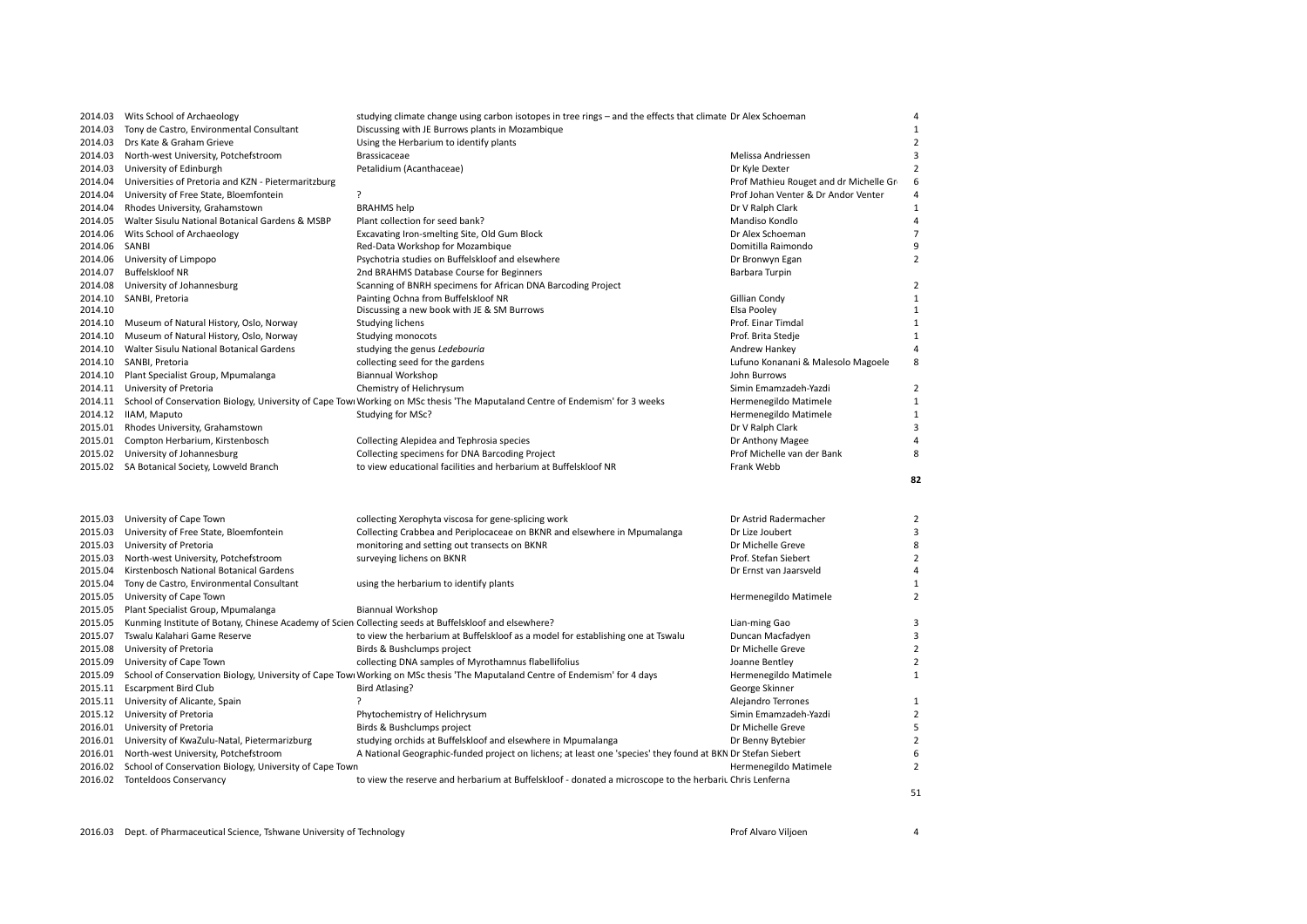|         | 2014.03 Wits School of Archaeology                                                                    | studying climate change using carbon isotopes in tree rings - and the effects that climate Dr Alex Schoeman                           |                                        | $\overline{4}$          |
|---------|-------------------------------------------------------------------------------------------------------|---------------------------------------------------------------------------------------------------------------------------------------|----------------------------------------|-------------------------|
| 2014.03 | Tony de Castro, Environmental Consultant                                                              | Discussing with JE Burrows plants in Mozambique                                                                                       |                                        | $\overline{1}$          |
| 2014.03 | Drs Kate & Graham Grieve                                                                              | Using the Herbarium to identify plants                                                                                                |                                        | $\overline{2}$          |
| 2014.03 | North-west University, Potchefstroom                                                                  | Brassicaceae                                                                                                                          | Melissa Andriessen                     | 3                       |
| 2014.03 | University of Edinburgh                                                                               | Petalidium (Acanthaceae)                                                                                                              | Dr Kyle Dexter                         | $\mathcal{P}$           |
| 2014.04 | Universities of Pretoria and KZN - Pietermaritzburg                                                   |                                                                                                                                       | Prof Mathieu Rouget and dr Michelle Gr | 6                       |
| 2014.04 | University of Free State, Bloemfontein                                                                | ?                                                                                                                                     | Prof Johan Venter & Dr Andor Venter    | $\overline{4}$          |
| 2014.04 | Rhodes University, Grahamstown                                                                        | <b>BRAHMS</b> help                                                                                                                    | Dr V Ralph Clark                       | 1                       |
| 2014.05 | Walter Sisulu National Botanical Gardens & MSBP                                                       | Plant collection for seed bank?                                                                                                       | Mandiso Kondlo                         | $\overline{a}$          |
| 2014.06 | Wits School of Archaeology                                                                            | Excavating Iron-smelting Site, Old Gum Block                                                                                          | Dr Alex Schoeman                       | $\overline{7}$          |
| 2014.06 | SANBI                                                                                                 | Red-Data Workshop for Mozambique                                                                                                      | Domitilla Raimondo                     | 9                       |
| 2014.06 | University of Limpopo                                                                                 | Psychotria studies on Buffelskloof and elsewhere                                                                                      | Dr Bronwyn Egan                        | $\overline{2}$          |
| 2014.07 | Buffelskloof NR                                                                                       | 2nd BRAHMS Database Course for Beginners                                                                                              | Barbara Turpin                         |                         |
| 2014.08 | University of Johannesburg                                                                            | Scanning of BNRH specimens for African DNA Barcoding Project                                                                          |                                        | $\overline{2}$          |
| 2014.10 | SANBI, Pretoria                                                                                       | Painting Ochna from Buffelskloof NR                                                                                                   | Gillian Condy                          | $\mathbf{1}$            |
| 2014.10 |                                                                                                       | Discussing a new book with JE & SM Burrows                                                                                            | Elsa Pooley                            | 1                       |
| 2014.10 | Museum of Natural History, Oslo, Norway                                                               | Studying lichens                                                                                                                      | Prof. Einar Timdal                     | $\mathbf{1}$            |
| 2014.10 | Museum of Natural History, Oslo, Norway                                                               | Studying monocots                                                                                                                     | Prof. Brita Stedje                     | $\mathbf{1}$            |
| 2014.10 | Walter Sisulu National Botanical Gardens                                                              | studying the genus Ledebouria                                                                                                         | Andrew Hankey                          | $\overline{A}$          |
| 2014.10 | SANBI, Pretoria                                                                                       | collecting seed for the gardens                                                                                                       | Lufuno Konanani & Malesolo Magoele     | $\mathsf{\overline{R}}$ |
| 2014.10 | Plant Specialist Group, Mpumalanga                                                                    | <b>Biannual Workshop</b>                                                                                                              | John Burrows                           |                         |
| 2014.11 | University of Pretoria                                                                                | Chemistry of Helichrysum                                                                                                              | Simin Emamzadeh-Yazdi                  | $\overline{2}$          |
|         |                                                                                                       | 2014.11 School of Conservation Biology, University of Cape Towi Working on MSc thesis 'The Maputaland Centre of Endemism' for 3 weeks | Hermenegildo Matimele                  | $\mathbf{1}$            |
|         | 2014.12 IIAM, Maputo                                                                                  | Studying for MSc?                                                                                                                     | Hermenegildo Matimele                  | $\mathbf{1}$            |
|         | 2015.01 Rhodes University, Grahamstown                                                                |                                                                                                                                       | Dr V Ralph Clark                       | 3                       |
| 2015.01 | Compton Herbarium, Kirstenbosch                                                                       | Collecting Alepidea and Tephrosia species                                                                                             | Dr Anthony Magee                       | $\Delta$                |
| 2015.02 | University of Johannesburg                                                                            | Collecting specimens for DNA Barcoding Project                                                                                        | Prof Michelle van der Bank             | $\mathbf{R}$            |
|         | 2015.02 SA Botanical Society, Lowveld Branch                                                          | to view educational facilities and herbarium at Buffelskloof NR                                                                       | Frank Webb                             |                         |
|         |                                                                                                       |                                                                                                                                       |                                        |                         |
|         |                                                                                                       |                                                                                                                                       |                                        | 82                      |
|         |                                                                                                       |                                                                                                                                       |                                        |                         |
|         |                                                                                                       |                                                                                                                                       |                                        |                         |
| 2015.03 | University of Cape Town                                                                               | collecting Xerophyta viscosa for gene-splicing work                                                                                   | Dr Astrid Radermacher                  | $\overline{2}$          |
| 2015.03 | University of Free State, Bloemfontein                                                                | Collecting Crabbea and Periplocaceae on BKNR and elsewhere in Mpumalanga                                                              | Dr Lize Joubert                        | 3                       |
| 2015.03 | University of Pretoria                                                                                | monitoring and setting out transects on BKNR                                                                                          | Dr Michelle Greve                      | 8                       |
| 2015.03 | North-west University, Potchefstroom                                                                  | surveying lichens on BKNR                                                                                                             | Prof. Stefan Siebert                   | $\overline{2}$          |
| 2015.04 | Kirstenbosch National Botanical Gardens                                                               |                                                                                                                                       | Dr Ernst van Jaarsveld                 | $\Delta$                |
| 2015.04 | Tony de Castro, Environmental Consultant                                                              | using the herbarium to identify plants                                                                                                |                                        | $\mathbf{1}$            |
| 2015.05 | University of Cape Town                                                                               |                                                                                                                                       | Hermenegildo Matimele                  | $\overline{2}$          |
| 2015.05 | Plant Specialist Group, Mpumalanga                                                                    | <b>Biannual Workshop</b>                                                                                                              |                                        |                         |
| 2015.05 | Kunming Institute of Botany, Chinese Academy of Scien Collecting seeds at Buffelskloof and elsewhere? |                                                                                                                                       | Lian-ming Gao                          | 3                       |
| 2015.07 | Tswalu Kalahari Game Reserve                                                                          | to view the herbarium at Buffelskloof as a model for establishing one at Tswalu                                                       | Duncan Macfadyen                       | 3                       |
| 2015.08 | University of Pretoria                                                                                | Birds & Bushclumps project                                                                                                            | Dr Michelle Greve                      | $\overline{2}$          |
| 2015.09 | University of Cape Town                                                                               | collecting DNA samples of Myrothamnus flabellifolius                                                                                  | Joanne Bentley                         | $\overline{2}$          |
| 2015.09 |                                                                                                       | School of Conservation Biology, University of Cape Towi Working on MSc thesis 'The Maputaland Centre of Endemism' for 4 days          | Hermenegildo Matimele                  | $\mathbf{1}$            |
| 2015.11 | <b>Escarpment Bird Club</b>                                                                           | <b>Bird Atlasing?</b>                                                                                                                 | George Skinner                         |                         |
|         | 2015.11 University of Alicante, Spain                                                                 | $\cdot$                                                                                                                               | Alejandro Terrones                     | $\mathbf{1}$            |
|         | 2015.12 University of Pretoria                                                                        | Phytochemistry of Helichrysum                                                                                                         | Simin Emamzadeh-Yazdi                  | $\overline{2}$          |
| 2016.01 | University of Pretoria                                                                                | Birds & Bushclumps project                                                                                                            | Dr Michelle Greve                      | 5                       |
|         | 2016.01 University of KwaZulu-Natal, Pietermarizburg                                                  | studying orchids at Buffelskloof and elsewhere in Mpumalanga                                                                          | Dr Benny Bytebier                      | $\overline{2}$          |
| 2016.01 | North-west University, Potchefstroom                                                                  | A National Geographic-funded project on lichens; at least one 'species' they found at BKN Dr Stefan Siebert                           |                                        | 6                       |
| 2016.02 | School of Conservation Biology, University of Cape Town                                               |                                                                                                                                       | Hermenegildo Matimele                  | $\overline{2}$          |
|         | 2016.02 Tonteldoos Conservancy                                                                        | to view the reserve and herbarium at Buffelskloof - donated a microscope to the herbariu Chris Lenferna                               |                                        |                         |

2016.03 Dept. of Pharmaceutical Science, Tshwane University of Technology **Prof**use Prof Alvaro Viljoen 4 and 2016.03 Prof Alvaro Viljoen 4